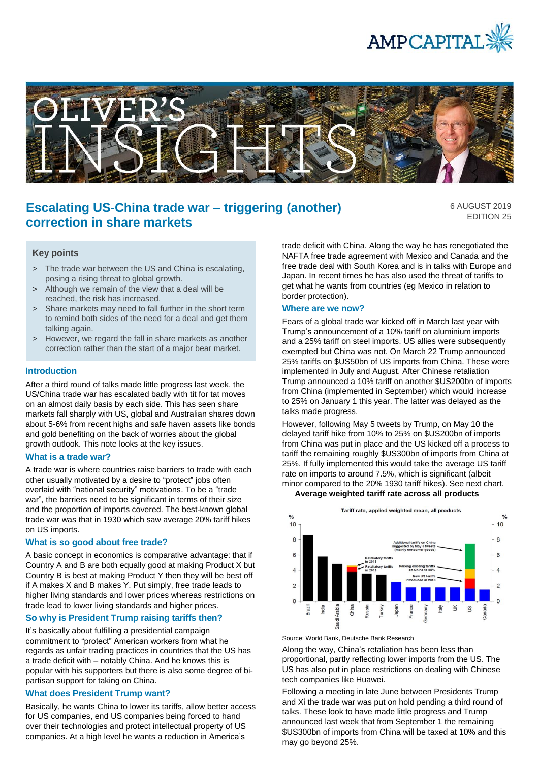



# **Escalating US-China trade war – triggering (another) correction in share markets**

6 AUGUST 2019 EDITION 25

### **Key points**

- > The trade war between the US and China is escalating, posing a rising threat to global growth.
- > Although we remain of the view that a deal will be reached, the risk has increased.
- > Share markets may need to fall further in the short term to remind both sides of the need for a deal and get them talking again.
- > However, we regard the fall in share markets as another correction rather than the start of a major bear market.

#### **Introduction**

After a third round of talks made little progress last week, the US/China trade war has escalated badly with tit for tat moves on an almost daily basis by each side. This has seen share markets fall sharply with US, global and Australian shares down about 5-6% from recent highs and safe haven assets like bonds and gold benefiting on the back of worries about the global growth outlook. This note looks at the key issues.

#### **What is a trade war?**

A trade war is where countries raise barriers to trade with each other usually motivated by a desire to "protect" jobs often overlaid with "national security" motivations. To be a "trade war", the barriers need to be significant in terms of their size and the proportion of imports covered. The best-known global trade war was that in 1930 which saw average 20% tariff hikes on US imports.

#### **What is so good about free trade?**

A basic concept in economics is comparative advantage: that if Country A and B are both equally good at making Product X but Country B is best at making Product Y then they will be best off if A makes X and B makes Y. Put simply, free trade leads to higher living standards and lower prices whereas restrictions on trade lead to lower living standards and higher prices.

### **So why is President Trump raising tariffs then?**

It's basically about fulfilling a presidential campaign commitment to "protect" American workers from what he regards as unfair trading practices in countries that the US has a trade deficit with – notably China. And he knows this is popular with his supporters but there is also some degree of bipartisan support for taking on China.

#### **What does President Trump want?**

Basically, he wants China to lower its tariffs, allow better access for US companies, end US companies being forced to hand over their technologies and protect intellectual property of US companies. At a high level he wants a reduction in America's

trade deficit with China. Along the way he has renegotiated the NAFTA free trade agreement with Mexico and Canada and the free trade deal with South Korea and is in talks with Europe and Japan. In recent times he has also used the threat of tariffs to get what he wants from countries (eg Mexico in relation to border protection).

#### **Where are we now?**

Fears of a global trade war kicked off in March last year with Trump's announcement of a 10% tariff on aluminium imports and a 25% tariff on steel imports. US allies were subsequently exempted but China was not. On March 22 Trump announced 25% tariffs on \$US50bn of US imports from China. These were implemented in July and August. After Chinese retaliation Trump announced a 10% tariff on another \$US200bn of imports from China (implemented in September) which would increase to 25% on January 1 this year. The latter was delayed as the talks made progress.

However, following May 5 tweets by Trump, on May 10 the delayed tariff hike from 10% to 25% on \$US200bn of imports from China was put in place and the US kicked off a process to tariff the remaining roughly \$US300bn of imports from China at 25%. If fully implemented this would take the average US tariff rate on imports to around 7.5%, which is significant (albeit minor compared to the 20% 1930 tariff hikes). See next chart.  **Average weighted tariff rate across all products**



Source: World Bank, Deutsche Bank Research

Along the way, China's retaliation has been less than proportional, partly reflecting lower imports from the US. The US has also put in place restrictions on dealing with Chinese tech companies like Huawei.

Following a meeting in late June between Presidents Trump and Xi the trade war was put on hold pending a third round of talks. These look to have made little progress and Trump announced last week that from September 1 the remaining \$US300bn of imports from China will be taxed at 10% and this may go beyond 25%.